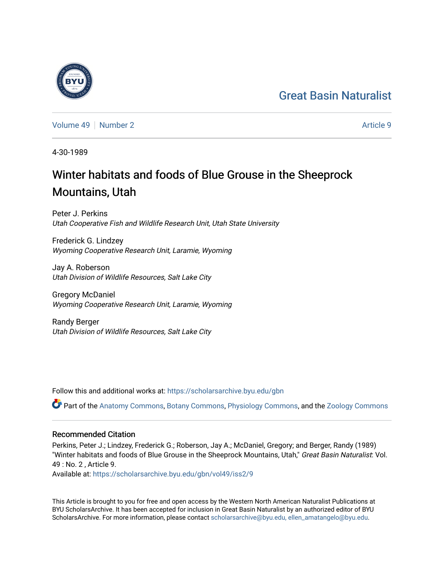## [Great Basin Naturalist](https://scholarsarchive.byu.edu/gbn)



[Volume 49](https://scholarsarchive.byu.edu/gbn/vol49) [Number 2](https://scholarsarchive.byu.edu/gbn/vol49/iss2) Article 9

4-30-1989

# Winter habitats and foods of Blue Grouse in the Sheeprock Mountains, Utah

Peter J. Perkins Utah Cooperative Fish and Wildlife Research Unit, Utah State University

Frederick G. Lindzey Wyoming Cooperative Research Unit, Laramie, Wyoming

Jay A. Roberson Utah Division of Wildlife Resources, Salt Lake City

Gregory McDaniel Wyoming Cooperative Research Unit, Laramie, Wyoming

Randy Berger Utah Division of Wildlife Resources, Salt Lake City

Follow this and additional works at: [https://scholarsarchive.byu.edu/gbn](https://scholarsarchive.byu.edu/gbn?utm_source=scholarsarchive.byu.edu%2Fgbn%2Fvol49%2Fiss2%2F9&utm_medium=PDF&utm_campaign=PDFCoverPages) 

Part of the [Anatomy Commons,](http://network.bepress.com/hgg/discipline/903?utm_source=scholarsarchive.byu.edu%2Fgbn%2Fvol49%2Fiss2%2F9&utm_medium=PDF&utm_campaign=PDFCoverPages) [Botany Commons,](http://network.bepress.com/hgg/discipline/104?utm_source=scholarsarchive.byu.edu%2Fgbn%2Fvol49%2Fiss2%2F9&utm_medium=PDF&utm_campaign=PDFCoverPages) [Physiology Commons,](http://network.bepress.com/hgg/discipline/69?utm_source=scholarsarchive.byu.edu%2Fgbn%2Fvol49%2Fiss2%2F9&utm_medium=PDF&utm_campaign=PDFCoverPages) and the [Zoology Commons](http://network.bepress.com/hgg/discipline/81?utm_source=scholarsarchive.byu.edu%2Fgbn%2Fvol49%2Fiss2%2F9&utm_medium=PDF&utm_campaign=PDFCoverPages)

### Recommended Citation

Perkins, Peter J.; Lindzey, Frederick G.; Roberson, Jay A.; McDaniel, Gregory; and Berger, Randy (1989) "Winter habitats and foods of Blue Grouse in the Sheeprock Mountains, Utah," Great Basin Naturalist: Vol. 49 : No. 2 , Article 9.

Available at: [https://scholarsarchive.byu.edu/gbn/vol49/iss2/9](https://scholarsarchive.byu.edu/gbn/vol49/iss2/9?utm_source=scholarsarchive.byu.edu%2Fgbn%2Fvol49%2Fiss2%2F9&utm_medium=PDF&utm_campaign=PDFCoverPages)

This Article is brought to you for free and open access by the Western North American Naturalist Publications at BYU ScholarsArchive. It has been accepted for inclusion in Great Basin Naturalist by an authorized editor of BYU ScholarsArchive. For more information, please contact [scholarsarchive@byu.edu, ellen\\_amatangelo@byu.edu.](mailto:scholarsarchive@byu.edu,%20ellen_amatangelo@byu.edu)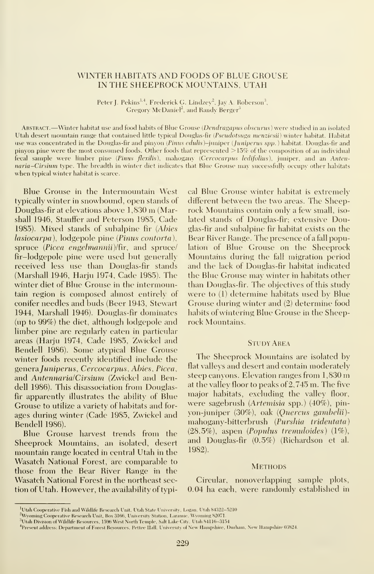#### WINTER HABITATS AND FOODS OF BLUE GROUSE IN THE SHEEPROCK MOUNTAINS, UTAH

Peter J. Pekins<sup>1,4</sup>, Frederick G. Lindzey<sup>2</sup>, Jay A. Roberson<sup>3</sup>, Gregory McDaniel<sup>2</sup>, and Randy Berger<sup>3</sup>

ABSTRACT.—Winter habitat use and food habits of Blue Grouse (Dendragapus obscurus) were studied in an isolated Utah desert mountain range that contained little typical Douglas-fir (Pseudotsuga menziesii) winter habitat. Habitat use was concentrated in the Douglas-fir and pinyon (Pinus edulis)-juniper (Juniperus spp.) habitat. Douglas-fir and pinyon pine were the most consumed foods. Other foods that represented >15% of the composition of an individual fecal sample were limber pine (Pinus flexilis), mahogany (Cercocarpus ledifolius), juniper, and an Antennaria-Cirsium type. The breadth in winter diet indicates that Blue Grouse may successfully occupy other habitats when typical winter habitat is scarce.

Blue Grouse in the Intermountain West typically winter in snowbound, open stands of Douglas-fir at elevations above 1,830 m (Marshall 1946, Stauffer and Peterson 1985, Cade 1985). Mixed stands of subalpine fir (Abies  $lasiocarpa$ ),  $lodepole$  pine (*Pinus contorta*), spruce (Picea engelmannii)/fir, and spruce/ fir-lodgepole pine were used but generally received less use than Douglas-fir stands (Marshall 1946, Harju 1974, Cade 1985). The winter diet of Blue Grouse in the intermountain region is composed almost entirely of conifer needles and buds (Beer 1943, Stewart 1944, Marshall 1946). Douglas-fir dominates (up to 99%) the diet, although lodgepole and limber pine are regularly eaten in particular areas (Harju 1974, Cade 1985, Zwickel and Bendell 1986). Some atypical Blue Grouse winter foods recently identified include the generaJuniperus, Cercocarpus, Abies, Picea, and AntennarialCirsium (Zwickel and Bendell 1986). This disassociation from Douglasfir apparently illustrates the ability of Blue Grouse to utilize a variety of habitats and for ages during winter (Cade 1985, Zwickel and Bendell 1986).

Blue Grouse harvest trends from the Sheeprock Mountains, an isolated, desert mountain range located in central Utah in the Wasatch National Forest, are comparable to those from the Bear River Range in the Wasatch National Forest in the northeast section of Utah. However, the availability of typical Blue Grouse winter habitat is extremely different between the two areas. The Sheeprock Mountains contain only a few small, iso lated stands of Douglas-fir; extensive Douglas-fir and subalpine fir habitat exists on the Bear River Range. The presence of a fall population of Blue Grouse on the Sheeprock Mountains during the fall migration period and the lack of Douglas-fir habitat indicated the Blue Grouse may winter in habitats other than Douglas-fir. The objectives of this study were to (1) determine habitats used by Blue Grouse during winter and (2) determine food habits of wintering Blue Grouse in the Sheeprock Mountains.

#### Study Area

The Sheeprock Mountains are isolated by flat valleys and desert and contain moderately steep canyons. Elevation ranges from 1,830 m at the valley floor to peaks of 2,745 m. The five major habitats, excluding the valley floor, were sagebrush (Artemisia spp.) (40%), pinyon-juniper (30%), oak (Quercus gambelii) mahogany-bitterbrush (Purshia tridentata) (28.5%), aspen (Populus tremuloides) (1%), and Douglas-fir (0.5%) (Richardson et al. 1982).

#### **METHODS**

Circular, nonoverlapping sample plots, 0.04 ha each, were randomlv established in

<sup>&#</sup>x27;Utah Cooperative Fish and Wildlife Research Unit, Utah State University, Logan, Utah 84322-5210

<sup>&</sup>lt;sup>2</sup>Wyoming Cooperative Research Unit, Box 3166, University Station, Laramie, Wyoming 82071

 $^3$ Utah Division of Wildlife Resources, 1596 West North Temple, Salt Lake City, Utah 84116–3154.

<sup>4</sup> Present address: Department of Forest Resources, Pettee Hall, University of New Hampshire, Durham, New Hampshire 0.3824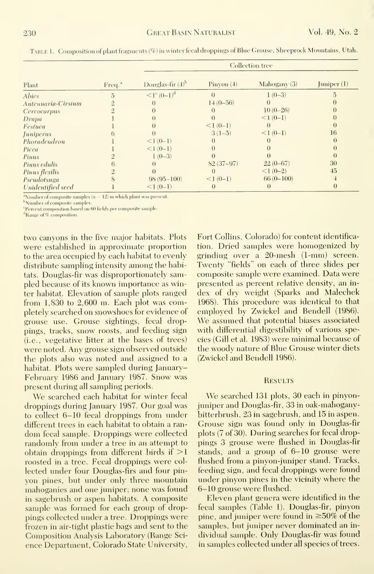| Plant              | Freq. <sup>a</sup> | <b>Collection tree</b> |                  |                |               |
|--------------------|--------------------|------------------------|------------------|----------------|---------------|
|                    |                    | Douglas-fir $(4)^b$    | Pinyon $(4)$     | Mahogany $(3)$ | Juniper $(1)$ |
| <i>Abies</i>       | 5                  | $\leq l^{c} (0-1)^{d}$ | $\theta$         | $1(0-3)$       |               |
| Antennaria-Cirsium |                    |                        | $14(0-56)$       |                |               |
| Cercocarpus        |                    |                        |                  | $10(0-26)$     |               |
| Drapa              |                    |                        |                  | $<1(0-1)$      |               |
| Festuca            |                    |                        | $<1(0-1)$        |                |               |
| <i>Juniperus</i>   |                    |                        | $3(1-5)$         | $<1(0-1)$      | 16            |
| Phoradendron       |                    | $<1(0-1)$              |                  |                |               |
| Picea              |                    | $<1(0-1)$              |                  |                |               |
| Pinus              |                    | $1(0-3)$               |                  |                |               |
| Pinus edulis       |                    | $\cup$                 | $82(37-97)$      | $22(0-67)$     | 30            |
| Pinus flexilis     |                    |                        | $\theta$         | $<1(0-2)$      | 45            |
| Pseudotsuga        |                    | $98(95 - 100)$         | $<1(0-1)$        | $66(0-100)$    |               |
| Unidentified seed  |                    | $<1(0-1)$              | $\left( \right)$ |                |               |

Table 1. Composition of plant fragments (%) in winter fecal droppings of Blue Grouse, Sheeproek Mountains, Utah.

<sup>a</sup>Number of composite samples ( $n = 12$ ) in which plant was present.

<sup>b</sup>Number of composite samples Percent composition based on 60 fields per composite sample

<sup>d</sup>Range of % composition.

two canyons in the five major habitats. Plots were established in approximate proportion to the area occupied by each habitat to evenly distribute sampling intensity among the habitats. Douglas-fir was disproportionately sampled because of its known importance as winter habitat. Elevation of sample plots ranged from  $1,830$  to  $2,600$  m. Each plot was completely searched on snowshoes for evidence of grouse use. Grouse sightings, fecal droppings, tracks, snow roosts, and feeding sign (*i.e.*, vegetative litter at the bases of trees) were noted. Any grouse sign observed outside the plots also was noted and assigned to a habitat. Plots were sampled during January-February 1986 and January 1987. Snow was present during all sampling periods.

We searched each habitat for winter fecal droppings during January 1987. Our goal was to collect 6-10 fecal droppings from under different trees in each habitat to obtain a random fecal sample. Droppings were collected randomly from under a tree in an attempt to obtain droppings from different birds if  $>1$ roosted in a tree. Fecal droppings were collected under four Douglas-firs and four pinyon pines, but under only three mountain mahoganies and one juniper; none was found in sagebrush or aspen habitats. A composite sample was formed for each group of droppings collected under a tree. Droppings were frozen in air-tight plastic bags and sent to the Composition Analysis Laboratory (Range Science Department, Colorado State University, Fort Collins, Colorado) for content identification. Dried samples were homogenized by grinding over a 20-mesh (1-mm) screen. Twenty "fields" on each of three slides per composite sample were examined. Data were presented as percent relative density, an index of dry weight (Sparks and Malechek 1968). This procedure was identical to that employed by Zwickel and Bendell (1986). We assumed that potential biases associated with differential digestibility of various species (Gill et al. 1983) were minimal because of the woody nature of Blue Grouse winter diets (Zwickel and Bendell 1986).

#### **RESULTS**

We searched 131 plots, 30 each in pinyonjuniper and Douglas-fir, 33 in oak-mahoganybitterbrush, 23 in sagebrush, and 15 in aspen. Grouse sign was found only in Douglas-fir plots (7 of 30). During searches for fecal droppings 3 grouse were flushed in Douglas-fir stands, and a group of 6-10 grouse were flushed from a pinvon-juniper stand. Tracks, feeding sign, and fecal droppings were found under pinyon pines in the vicinity where the 6-10 grouse were flushed.

Eleven plant genera were identified in the fecal samples (Table 1). Douglas-fir, pinyon pine, and juniper were found in  $\geq 50\%$  of the samples, but juniper never dominated an individual sample. Only Douglas-fir was found in samples collected under all species of trees.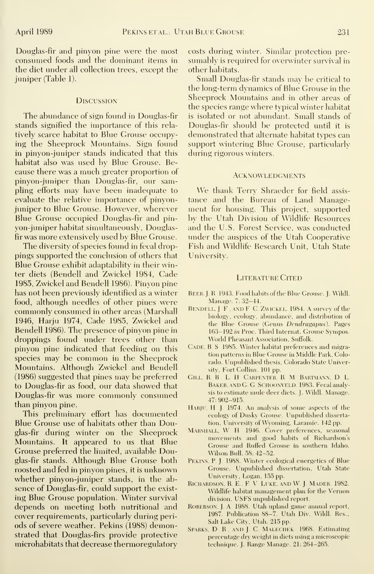Douglas-fir and pinyon pine were the most consumed foods and the dominant items in the diet under all collection trees, except the juniper (Table 1).

#### **DISCUSSION**

The abundance of sign found in Douglas-fir stands signified the importance of this rela tively scarce habitat to Blue Grouse occupying the Sheeprock Mountains. Sign found in pinyon-juniper stands indicated that this habitat also was used by Blue Grouse. Because there was a much greater proportion of pinyon-juniper than Douglas-fir, our sampling efforts may have been inadequate to evaluate the relative importance of pinyonjuniper to Blue Grouse. However, wherever Blue Grouse occupied Douglas-fir and pinyon-juniper habitat simultaneously, Douglasfir was more extensively used by Blue Grouse.

The diversity of species found in fecal droppings supported the conclusion of others that Blue Grouse exhibit adaptability in their winter diets (Bendell and Zwickel 1984, Cade 1985, Zwickel and Bendell 1986). Pinyon pine has not been previously identified as a winter food, although needles of other pines were commonly consumed in other areas (Marshall 1946, Harju 1974, Cade 1985, Zwickel and Bendell 1986). The presence of pinyon pine in droppings found under trees other than pinyon pine indicated that feeding on this species may be common in the Sheeprock Mountains. Although Zwickel and Bendell (1986) suggested that pines may be preferred to Douglas-fir as food, our data showed that Douglas-fir was more commonly consumed than pinyon pine.

This preliminary effort has documented Blue Grouse use of habitats other than Douglas-fir during winter on the Sheeprock Mountains. It appeared to us that Blue Grouse preferred the limited, available Douglas-fir stands. Although Blue Grouse both roosted and fed in pinyon pines, it is unknown whether pinyon-juniper stands, in the ab sence of Douglas-fir, could support the exist ing Blue Grouse population. Winter survival depends on meeting both nutritional and cover requirements, particularly during periods of severe weather. Pekins (1988) demonstrated that Douglas-firs provide protective microhabitats that decrease thermoregulatory costs during winter. Similar protection pre sumably is required for overwinter survival in other habitats.

Small Douglas-fir stands may be critical to the long-term dynamics of Blue Grouse in the Sheeprock Mountains and in other areas of the species range where typical winter habitat is isolated or not abundant. Small stands of Douglas-fir should be protected until it is demonstrated that alternate habitat types can support wintering Blue Grouse, particularly during rigorous winters.

#### **ACKNOWLEDGMENTS**

We thank Terry Shraeder for field assis tance and the Bureau of Land Management for housing. This project, supported by the Utah Division of Wildlife Besources and the U.S. Forest Service, was conducted under the auspices of the Utah Cooperative Fish and Wildlife Besearch Unit, Utah State University.

#### LITERATURE CITED

- BEER, J. R 1943. Food habits of the Blue Grouse. J. Wildl. Manage. 7: 32-44.
- BENDELL, J. F., AND F. C. ZWICKEL, 1984. A survey of the biology, ecology, abundance, and distribution of the Blue Grouse (Genus Dendragapus). Pages 163-192 in Proc. Third Internat. Grouse Sympos. World Pheasant Association, Suffolk.
- CADE, B. S. 1985. Winter habitat preferences and migration patterns in Blue Grouse in Middle Park, Colorado. Unpublished thesis, Colorado State University, Fort Collins. 101 pp.
- Gill. R <sup>B</sup> . L H Carpenter. R M Bartmann. D. L. BAKER, AND G. G. SCHOONVELD. 1983. Fecal analysis to estimate mule deer diets. J. Wildl. Manage. 47: 902-915.
- HARJU, H. J. 1974. An analysis of some aspects of the ecology of Dusky Grouse. Unpublished dissertation, University of Wyoming, Laramie. 142 pp.
- MARSHALL, W. H. 1946. Cover preferences, seasonal movements and good habits of Richardson's Grouse and Ruffed Grouse in southern Idaho. Wilson Bull. 58: 42-52.
- PEKINS, P. J. 1988. Winter ecological energetics of Blue Grouse. Unpublished dissertation, Utah State University, Logan, 155 pp.
- RICHARDSON, R. E., F. V. LUKE, AND W. J. MADER 1982. Wildlife habitat management plan for the Vernon division. USFS unpublished report.
- ROBERSON, J. A 1988. Utah upland game annual report, 1987. Publication 88-7. Utah Div. Wildl. Res., Salt Lake City, Utah. 215 pp.
- SPARKS, D. R., AND J. C. MALECHEK. 1968. Estimating percentage dry weight in diets using a microscopic technique. J. Range Manage. 21: 264-265.